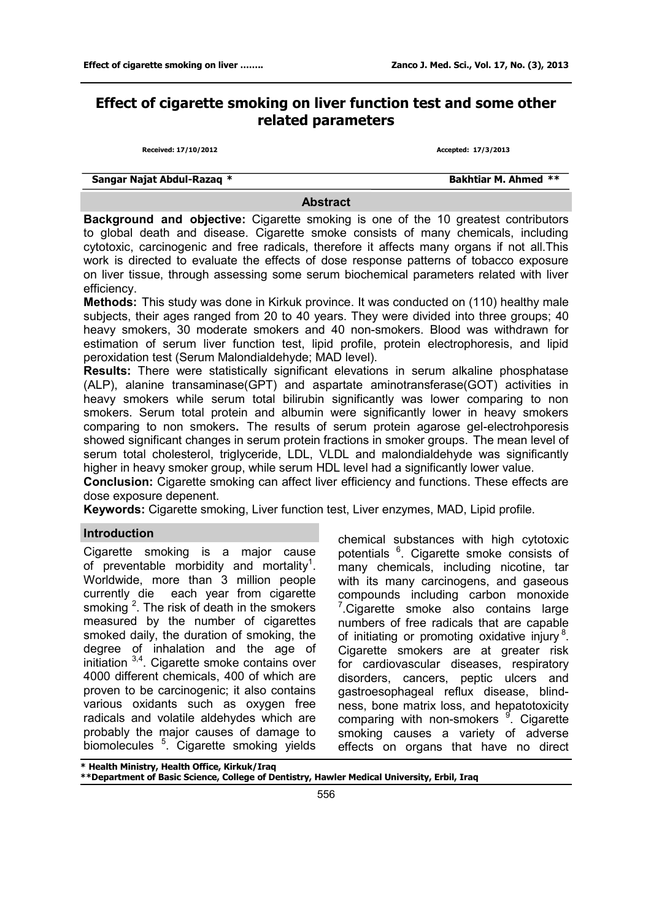# **Effect of cigarette smoking on liver function test and some other related parameters**

**Received: 17/10/2012 Accepted: 17/3/2013**

**Sangar Najat Abdul-Razaq \* Bakhtiar M. Ahmed** \*\*

#### **Abstract**

**Background and objective:** Cigarette smoking is one of the 10 greatest contributors to global death and disease. Cigarette smoke consists of many chemicals, including cytotoxic, carcinogenic and free radicals, therefore it affects many organs if not all.This work is directed to evaluate the effects of dose response patterns of tobacco exposure on liver tissue, through assessing some serum biochemical parameters related with liver efficiency.

**Methods:** This study was done in Kirkuk province. It was conducted on (110) healthy male subjects, their ages ranged from 20 to 40 years. They were divided into three groups; 40 heavy smokers, 30 moderate smokers and 40 non-smokers. Blood was withdrawn for estimation of serum liver function test, lipid profile, protein electrophoresis, and lipid peroxidation test (Serum Malondialdehyde; MAD level).

**Results:** There were statistically significant elevations in serum alkaline phosphatase (ALP), alanine transaminase(GPT) and aspartate aminotransferase(GOT) activities in heavy smokers while serum total bilirubin significantly was lower comparing to non smokers. Serum total protein and albumin were significantly lower in heavy smokers comparing to non smokers**.** The results of serum protein agarose gel-electrohporesis showed significant changes in serum protein fractions in smoker groups. The mean level of serum total cholesterol, triglyceride, LDL, VLDL and malondialdehyde was significantly higher in heavy smoker group, while serum HDL level had a significantly lower value.

**Conclusion:** Cigarette smoking can affect liver efficiency and functions. These effects are dose exposure depenent.

**Keywords:** Cigarette smoking, Liver function test, Liver enzymes, MAD, Lipid profile.

#### **Introduction**

Cigarette smoking is a major cause of preventable morbidity and mortality<sup>1</sup>. Worldwide, more than 3 million people currently die each year from cigarette smoking  $2$ . The risk of death in the smokers measured by the number of cigarettes smoked daily, the duration of smoking, the degree of inhalation and the age of initiation 3,4 . Cigarette smoke contains over 4000 different chemicals, 400 of which are proven to be carcinogenic; it also contains various oxidants such as oxygen free radicals and volatile aldehydes which are probably the major causes of damage to biomolecules <sup>5</sup> . Cigarette smoking yields

chemical substances with high cytotoxic potentials <sup>6</sup>. Cigarette smoke consists of many chemicals, including nicotine, tar with its many carcinogens, and gaseous compounds including carbon monoxide <sup>7</sup>.Cigarette smoke also contains large numbers of free radicals that are capable of initiating or promoting oxidative injury<sup>8</sup>. Cigarette smokers are at greater risk for cardiovascular diseases, respiratory disorders, cancers, peptic ulcers and gastroesophageal reflux disease, blindness, bone matrix loss, and hepatotoxicity comparing with non-smokers <sup>9</sup>. Cigarette smoking causes a variety of adverse effects on organs that have no direct

**\* Health Ministry, Health Office, Kirkuk/Iraq**

**\*\*Department of Basic Science, College of Dentistry, Hawler Medical University, Erbil, Iraq**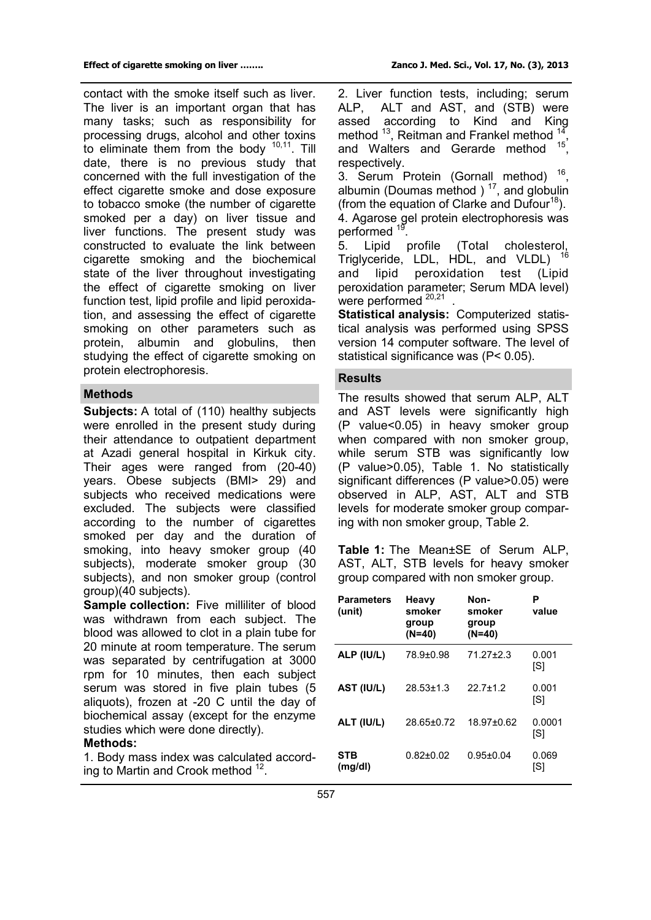contact with the smoke itself such as liver. The liver is an important organ that has many tasks; such as responsibility for processing drugs, alcohol and other toxins to eliminate them from the body  $10,11$ . Till date, there is no previous study that concerned with the full investigation of the effect cigarette smoke and dose exposure to tobacco smoke (the number of cigarette

smoked per a day) on liver tissue and liver functions. The present study was constructed to evaluate the link between cigarette smoking and the biochemical state of the liver throughout investigating the effect of cigarette smoking on liver function test, lipid profile and lipid peroxidation, and assessing the effect of cigarette smoking on other parameters such as protein, albumin and globulins, then studying the effect of cigarette smoking on protein electrophoresis.

## **Methods**

**Subjects:** A total of (110) healthy subjects were enrolled in the present study during their attendance to outpatient department at Azadi general hospital in Kirkuk city. Their ages were ranged from (20-40) years. Obese subjects (BMI> 29) and subjects who received medications were excluded. The subjects were classified according to the number of cigarettes smoked per day and the duration of smoking, into heavy smoker group (40 subjects), moderate smoker group (30 subjects), and non smoker group (control group)(40 subjects).

**Sample collection:** Five milliliter of blood was withdrawn from each subject. The blood was allowed to clot in a plain tube for 20 minute at room temperature. The serum was separated by centrifugation at 3000 rpm for 10 minutes, then each subject serum was stored in five plain tubes (5 aliquots), frozen at -20 C until the day of biochemical assay (except for the enzyme studies which were done directly).

### **Methods:**

1. Body mass index was calculated according to Martin and Crook method <sup>12</sup>.

2. Liver function tests, including; serum ALP, ALT and AST, and (STB) were assed according to Kind and King method <sup>13</sup>, Reitman and Frankel method <sup>14</sup> , and Walters and Gerarde method <sup>15</sup>, respectively.

3. Serum Protein (Gornall method)  $16$ , albumin (Doumas method )  $17$ , and globulin (from the equation of Clarke and Dufour<sup>18</sup>). 4. Agarose gel protein electrophoresis was performed <sup>19</sup>

. 5. Lipid profile (Total cholesterol, Triglyceride, LDL, HDL, and VLDL) <sup>16</sup> L and lipid peroxidation test (Lipid peroxidation parameter; Serum MDA level) were performed <sup>20,21</sup>.

**Statistical analysis:** Computerized statistical analysis was performed using SPSS version 14 computer software. The level of statistical significance was (P< 0.05).

## **Results**

The results showed that serum ALP, ALT and AST levels were significantly high (P value<0.05) in heavy smoker group when compared with non smoker group, while serum STB was significantly low (P value>0.05), Table 1. No statistically significant differences (P value > 0.05) were observed in ALP, AST, ALT and STB levels for moderate smoker group comparing with non smoker group, Table 2.

**Table 1:** The Mean±SE of Serum ALP, AST, ALT, STB levels for heavy smoker group compared with non smoker group.

| <b>Parameters</b><br>(unit) | Heavy<br>smoker<br>group<br>$(N=40)$ | Non-<br>smoker<br>group<br>$(N=40)$ | Р<br>value    |
|-----------------------------|--------------------------------------|-------------------------------------|---------------|
| ALP (IU/L)                  | 78.9±0.98                            | 71.27+2.3                           | 0.001<br>[S]  |
| AST (IU/L)                  | $28.53 \pm 1.3$                      | $22.7 + 1.2$                        | 0.001<br>[S]  |
| ALT (IU/L)                  | 28.65±0.72                           | 18.97±0.62                          | 0.0001<br>[S] |
| <b>STB</b><br>(mg/d)        | $0.82{\pm}0.02$                      | $0.95 \pm 0.04$                     | 0.069<br>[S]  |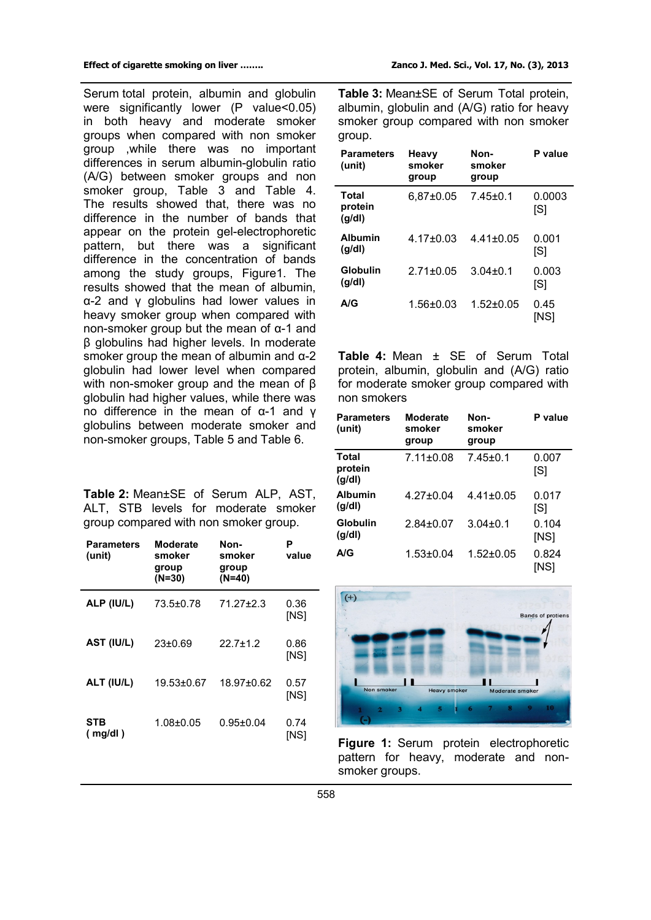Serum total protein, albumin and globulin were significantly lower (P value<0.05) in both heavy and moderate smoker groups when compared with non smoker group ,while there was no important differences in serum albumin-globulin ratio (A/G) between smoker groups and non smoker group, Table 3 and Table 4. The results showed that, there was no difference in the number of bands that appear on the protein gel-electrophoretic pattern, but there was a significant difference in the concentration of bands among the study groups, Figure1. The results showed that the mean of albumin, α-2 and γ globulins had lower values in heavy smoker group when compared with non-smoker group but the mean of α-1 and β globulins had higher levels. In moderate smoker group the mean of albumin and  $\alpha$ -2 globulin had lower level when compared with non-smoker group and the mean of β globulin had higher values, while there was no difference in the mean of α-1 and γ globulins between moderate smoker and non-smoker groups, Table 5 and Table 6.

|  |  | Table 2: Mean±SE of Serum ALP, AST,   |  |  |
|--|--|---------------------------------------|--|--|
|  |  | ALT, STB levels for moderate smoker   |  |  |
|  |  | group compared with non smoker group. |  |  |

| Parameters<br>(unit) | Moderate<br>smoker<br>group<br>$(N=30)$ | Non-<br>smoker<br>group<br>$(N=40)$ | Р<br>value   |
|----------------------|-----------------------------------------|-------------------------------------|--------------|
| ALP (IU/L)           | 73.5±0.78                               | 71.27+2.3                           | 0.36<br>[NS] |
| AST (IU/L)           | $23 \pm 0.69$                           | $22.7 + 1.2$                        | 0.86<br>[NS] |
| ALT (IU/L)           | 19.53±0.67                              | 18.97+0.62                          | 0.57<br>[NS] |
| STB<br>(mg/dl)       | $1.08 + 0.05$                           | $0.95 \pm 0.04$                     | 0.74<br>[NS] |

**Table 3:** Mean±SE of Serum Total protein, albumin, globulin and (A/G) ratio for heavy smoker group compared with non smoker group.

| <b>Parameters</b><br>(unit) | Heavy<br>smoker<br>group | Non-<br>smoker<br>group | P value       |
|-----------------------------|--------------------------|-------------------------|---------------|
| Total<br>protein<br>(q/d)   | 6.87±0.05                | $7.45+0.1$              | 0.0003<br>[S] |
| <b>Albumin</b><br>(q/d)     | $4.17 + 0.03$            | $4.41 + 0.05$           | 0.001<br>[S]  |
| <b>Globulin</b><br>(g/dl)   | $2.71 + 0.05$            | $3.04 + 0.1$            | 0.003<br>[S]  |
| A/G                         | $1.56 + 0.03$            | $1.52 + 0.05$           | 0.45<br>INSI  |

**Table 4:** Mean ± SE of Serum Total protein, albumin, globulin and (A/G) ratio for moderate smoker group compared with non smokers

| <b>Parameters</b><br>(unit) | <b>Moderate</b><br>smoker<br>group | Non-<br>smoker<br>group | P value       |
|-----------------------------|------------------------------------|-------------------------|---------------|
| Total<br>protein<br>(g/d)   | $7.11 \pm 0.08$                    | $7.45+0.1$              | 0.007<br>[S]  |
| <b>Albumin</b><br>(g/d)     | $4.27 + 0.04$                      | $4.41 + 0.05$           | 0.017<br>[S]  |
| <b>Globulin</b><br>(g/d)    | $2.84 + 0.07$                      | $3.04 \pm 0.1$          | 0.104<br>[NS] |
| A/G                         | $1.53 + 0.04$                      | $1.52 \pm 0.05$         | 0.824<br>[NS] |



**Figure 1:** Serum protein electrophoretic pattern for heavy, moderate and nonsmoker groups.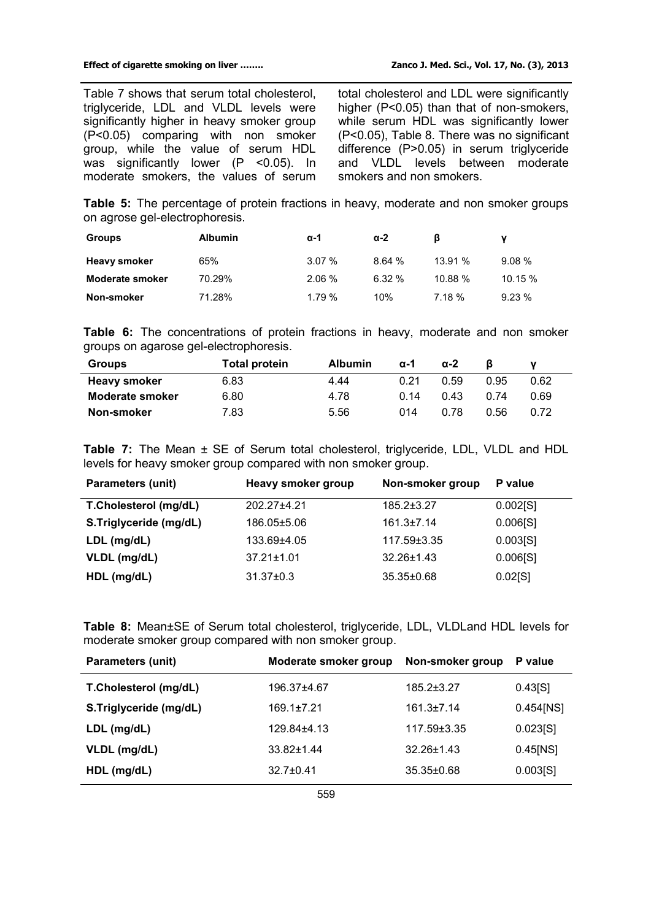Table 7 shows that serum total cholesterol, triglyceride, LDL and VLDL levels were significantly higher in heavy smoker group (P<0.05) comparing with non smoker group, while the value of serum HDL was significantly lower (P <0.05). In moderate smokers, the values of serum total cholesterol and LDL were significantly higher (P<0.05) than that of non-smokers, while serum HDL was significantly lower (P<0.05), Table 8. There was no significant difference (P>0.05) in serum triglyceride and VLDL levels between moderate smokers and non smokers.

**Table 5:** The percentage of protein fractions in heavy, moderate and non smoker groups on agrose gel-electrophoresis.

| <b>Groups</b>          | <b>Albumin</b> | α-1      | $\alpha$ -2 | ß      |         |
|------------------------|----------------|----------|-------------|--------|---------|
| <b>Heavy smoker</b>    | 65%            | $3.07\%$ | 8.64%       | 13.91% | 9.08%   |
| <b>Moderate smoker</b> | 70.29%         | $2.06\%$ | $6.32 \%$   | 10.88% | 10.15 % |
| Non-smoker             | 71.28%         | 1.79%    | 10%         | 7.18%  | 9.23%   |

**Table 6:** The concentrations of protein fractions in heavy, moderate and non smoker groups on agarose gel-electrophoresis.

| <b>Groups</b>          | <b>Total protein</b> | <b>Albumin</b> | $\alpha - 1$ | $\alpha$ -2 |      |      |
|------------------------|----------------------|----------------|--------------|-------------|------|------|
| <b>Heavy smoker</b>    | 6.83                 | 4.44           | 0.21         | 0.59        | 0.95 | 0.62 |
| <b>Moderate smoker</b> | 6.80                 | 4.78           | 0.14         | 0.43        | በ 74 | 0.69 |
| Non-smoker             | 7.83                 | 5.56           | 014          | 0.78        | 0.56 | 0.72 |

**Table 7:** The Mean ± SE of Serum total cholesterol, triglyceride, LDL, VLDL and HDL levels for heavy smoker group compared with non smoker group.

| <b>Parameters (unit)</b> | Heavy smoker group | Non-smoker group | P value  |
|--------------------------|--------------------|------------------|----------|
| T.Cholesterol (mg/dL)    | 202.27±4.21        | $185.2 \pm 3.27$ | 0.002[S] |
| S.Triglyceride (mg/dL)   | 186.05±5.06        | $161.3 \pm 7.14$ | 0.006[S] |
| $LDL$ (mg/dL)            | 133.69±4.05        | 117.59±3.35      | 0.003[S] |
| VLDL (mg/dL)             | $37.21 \pm 1.01$   | $32.26 \pm 1.43$ | 0.006[S] |
| HDL (mg/dL)              | $31.37 \pm 0.3$    | 35.35±0.68       | 0.02[S]  |

**Table 8:** Mean±SE of Serum total cholesterol, triglyceride, LDL, VLDLand HDL levels for moderate smoker group compared with non smoker group.

| <b>Parameters (unit)</b> | Moderate smoker group | Non-smoker group | P value      |
|--------------------------|-----------------------|------------------|--------------|
| T.Cholesterol (mg/dL)    | 196.37±4.67           | 185.2±3.27       | 0.43[S]      |
| S.Triglyceride (mg/dL)   | $169.1 \pm 7.21$      | $161.3 \pm 7.14$ | $0.454$ [NS] |
| LDL (mg/dL)              | 129.84+4.13           | 117.59±3.35      | 0.023[S]     |
| VLDL (mg/dL)             | $33.82 \pm 1.44$      | $32.26 + 1.43$   | $0.45$ [NS]  |
| HDL (mg/dL)              | $32.7 \pm 0.41$       | $35.35 \pm 0.68$ | 0.003[S]     |
|                          |                       |                  |              |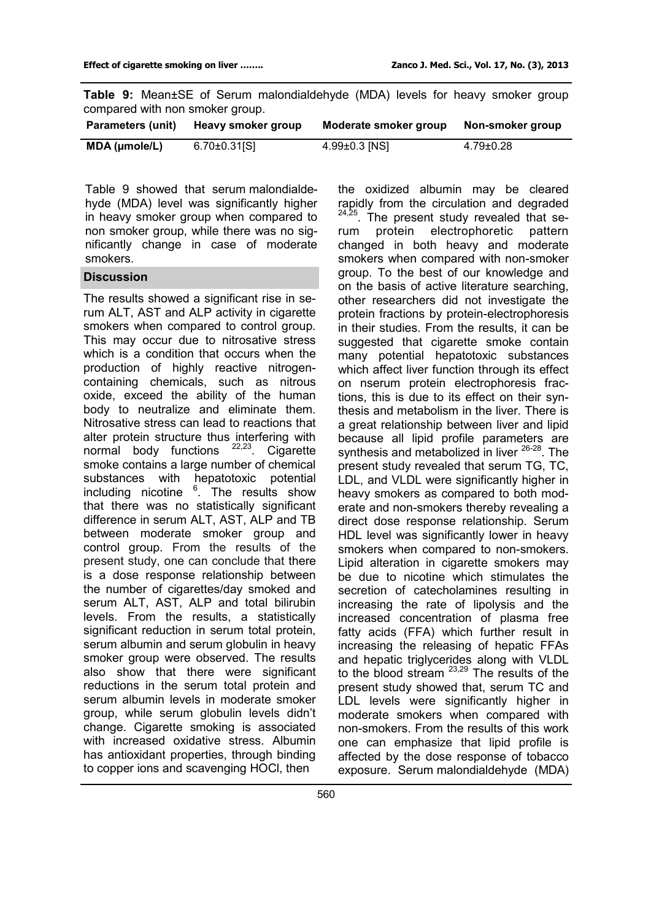|  |                                 |  | <b>Table 9:</b> Mean±SE of Serum malondialdehyde (MDA) levels for heavy smoker group |  |  |  |
|--|---------------------------------|--|--------------------------------------------------------------------------------------|--|--|--|
|  | compared with non smoker group. |  |                                                                                      |  |  |  |

| Parameters (unit) | Heavy smoker group  | Moderate smoker group | Non-smoker group |
|-------------------|---------------------|-----------------------|------------------|
| MDA (µmole/L)     | $6.70 \pm 0.31$ [S] | $4.99 \pm 0.3$ [NS]   | 4.79±0.28        |

Table 9 showed that serum malondialdehyde (MDA) level was significantly higher in heavy smoker group when compared to non smoker group, while there was no significantly change in case of moderate smokers.

### **Discussion**

The results showed a significant rise in serum ALT, AST and ALP activity in cigarette smokers when compared to control group. This may occur due to nitrosative stress which is a condition that occurs when the production of highly reactive nitrogencontaining chemicals, such as nitrous oxide, exceed the ability of the human body to neutralize and eliminate them. Nitrosative stress can lead to reactions that alter protein structure thus interfering with normal body functions <sup>22,23</sup>. Cigarette smoke contains a large number of chemical substances with hepatotoxic potential including nicotine <sup>6</sup>. The results show that there was no statistically significant difference in serum ALT, AST, ALP and TB between moderate smoker group and control group. From the results of the present study, one can conclude that there is a dose response relationship between the number of cigarettes/day smoked and serum ALT, AST, ALP and total bilirubin levels. From the results, a statistically significant reduction in serum total protein, serum albumin and serum globulin in heavy smoker group were observed. The results also show that there were significant reductions in the serum total protein and serum albumin levels in moderate smoker group, while serum globulin levels didn't change. Cigarette smoking is associated with increased oxidative stress. Albumin has antioxidant properties, through binding to copper ions and scavenging HOCl, then

the oxidized albumin may be cleared rapidly from the circulation and degraded . The present study revealed that serum protein electrophoretic pattern changed in both heavy and moderate smokers when compared with non-smoker group. To the best of our knowledge and on the basis of active literature searching, other researchers did not investigate the protein fractions by protein-electrophoresis in their studies. From the results, it can be suggested that cigarette smoke contain many potential hepatotoxic substances which affect liver function through its effect on nserum protein electrophoresis fractions, this is due to its effect on their synthesis and metabolism in the liver. There is a great relationship between liver and lipid because all lipid profile parameters are synthesis and metabolized in liver <sup>26-28</sup>. The present study revealed that serum TG, TC, LDL, and VLDL were significantly higher in heavy smokers as compared to both moderate and non-smokers thereby revealing a direct dose response relationship. Serum HDL level was significantly lower in heavy smokers when compared to non-smokers. Lipid alteration in cigarette smokers may be due to nicotine which stimulates the secretion of catecholamines resulting in increasing the rate of lipolysis and the increased concentration of plasma free fatty acids (FFA) which further result in increasing the releasing of hepatic FFAs and hepatic triglycerides along with VLDL to the blood stream  $23,29$  The results of the present study showed that, serum TC and LDL levels were significantly higher in moderate smokers when compared with non-smokers. From the results of this work one can emphasize that lipid profile is affected by the dose response of tobacco exposure. Serum malondialdehyde (MDA)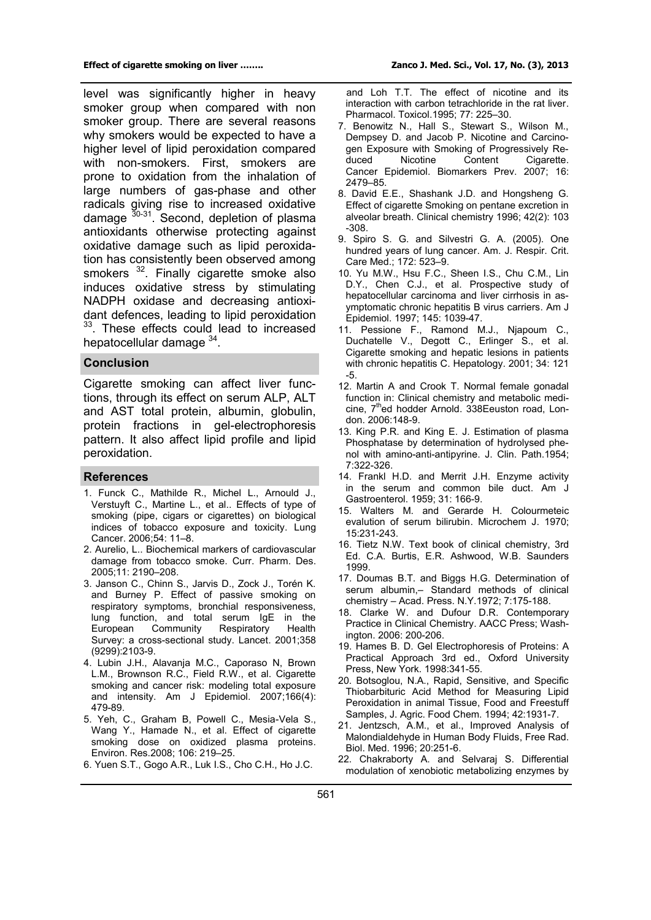level was significantly higher in heavy smoker group when compared with non smoker group. There are several reasons why smokers would be expected to have a higher level of lipid peroxidation compared with non-smokers. First, smokers are prone to oxidation from the inhalation of large numbers of gas-phase and other radicals giving rise to increased oxidative damage  $30-31$ . Second, depletion of plasma antioxidants otherwise protecting against oxidative damage such as lipid peroxidation has consistently been observed among smokers <sup>32</sup>. Finally cigarette smoke also induces oxidative stress by stimulating NADPH oxidase and decreasing antioxidant defences, leading to lipid peroxidation <sup>33</sup>. These effects could lead to increased hepatocellular damage <sup>34</sup>.

#### **Conclusion**

Cigarette smoking can affect liver functions, through its effect on serum ALP, ALT and AST total protein, albumin, globulin, protein fractions in gel-electrophoresis pattern. It also affect lipid profile and lipid peroxidation.

#### **References**

- 1. Funck C., Mathilde R., Michel L., Arnould J., Verstuyft C., Martine L., et al.. Effects of type of smoking (pipe, cigars or cigarettes) on biological indices of tobacco exposure and toxicity. Lung Cancer. 2006;54: 11–8.
- 2. Aurelio, L.. Biochemical markers of cardiovascular damage from tobacco smoke. Curr. Pharm. Des. 2005;11: 2190–208.
- 3. Janson C., Chinn S., Jarvis D., Zock J., Torén K. and Burney P. Effect of passive smoking on respiratory symptoms, bronchial responsiveness, lung function, and total serum IgE in the European Community Respiratory Health Survey: a cross-sectional study. Lancet. 2001;358 (9299):2103-9.
- 4. Lubin J.H., Alavanja M.C., Caporaso N, Brown L.M., Brownson R.C., Field R.W., et al. Cigarette smoking and cancer risk: modeling total exposure and intensity. Am J Epidemiol. 2007;166(4): 479-89.
- 5. Yeh, C., Graham B, Powell C., Mesia-Vela S., Wang Y., Hamade N., et al. Effect of cigarette smoking dose on oxidized plasma proteins. Environ. Res.2008; 106: 219–25.
- 6. Yuen S.T., Gogo A.R., Luk I.S., Cho C.H., Ho J.C.

 and Loh T.T. The effect of nicotine and its interaction with carbon tetrachloride in the rat liver. Pharmacol. Toxicol.1995; 77: 225–30.

- 7. Benowitz N., Hall S., Stewart S., Wilson M., Dempsey D. and Jacob P. Nicotine and Carcinogen Exposure with Smoking of Progressively Re-<br>duced Micotine Content Cigarette. Cigarette. Cancer Epidemiol. Biomarkers Prev. 2007; 16: 2479–85.
- 8. David E.E., Shashank J.D. and Hongsheng G. Effect of cigarette Smoking on pentane excretion in alveolar breath. Clinical chemistry 1996; 42(2): 103 -308.
- 9. Spiro S. G. and Silvestri G. A. (2005). One hundred years of lung cancer. Am. J. Respir. Crit. Care Med.; 172: 523–9.
- 10. Yu M.W., Hsu F.C., Sheen I.S., Chu C.M., Lin D.Y., Chen C.J., et al. Prospective study of hepatocellular carcinoma and liver cirrhosis in asymptomatic chronic hepatitis B virus carriers. Am J Epidemiol. 1997; 145: 1039-47.
- 11. Pessione F., Ramond M.J., Njapoum C., Duchatelle V., Degott C., Erlinger S., et al. Cigarette smoking and hepatic lesions in patients with chronic hepatitis C. Hepatology. 2001; 34: 121 -5.
- 12. Martin A and Crook T. Normal female gonadal function in: Clinical chemistry and metabolic medicine, 7<sup>th</sup>ed hodder Arnold. 338 Eeuston road, London. 2006:148-9.
- 13. King P.R. and King E. J. Estimation of plasma Phosphatase by determination of hydrolysed phenol with amino-anti-antipyrine. J. Clin. Path.1954; 7:322-326.
- 14. Frankl H.D. and Merrit J.H. Enzyme activity in the serum and common bile duct. Am J Gastroenterol. 1959; 31: 166-9.
- 15. Walters M. and Gerarde H. Colourmeteic evalution of serum bilirubin. Microchem J. 1970; 15:231-243.
- 16. Tietz N.W. Text book of clinical chemistry, 3rd Ed. C.A. Burtis, E.R. Ashwood, W.B. Saunders 1999.
- 17. Doumas B.T. and Biggs H.G. Determination of serum albumin,– Standard methods of clinical chemistry – Acad. Press. N.Y.1972; 7:175-188.
- 18. Clarke W. and Dufour D.R. Contemporary Practice in Clinical Chemistry. AACC Press; Washington. 2006: 200-206.
- 19. Hames B. D. Gel Electrophoresis of Proteins: A Practical Approach 3rd ed., Oxford University Press, New York. 1998:341-55.
- 20. Botsoglou, N.A., Rapid, Sensitive, and Specific Thiobarbituric Acid Method for Measuring Lipid Peroxidation in animal Tissue, Food and Freestuff Samples, J. Agric. Food Chem. 1994; 42:1931-7.
- 21. Jentzsch, A.M., et al., Improved Analysis of Malondialdehyde in Human Body Fluids, Free Rad. Biol. Med. 1996; 20:251-6.
- 22. Chakraborty A. and Selvaraj S. Differential modulation of xenobiotic metabolizing enzymes by